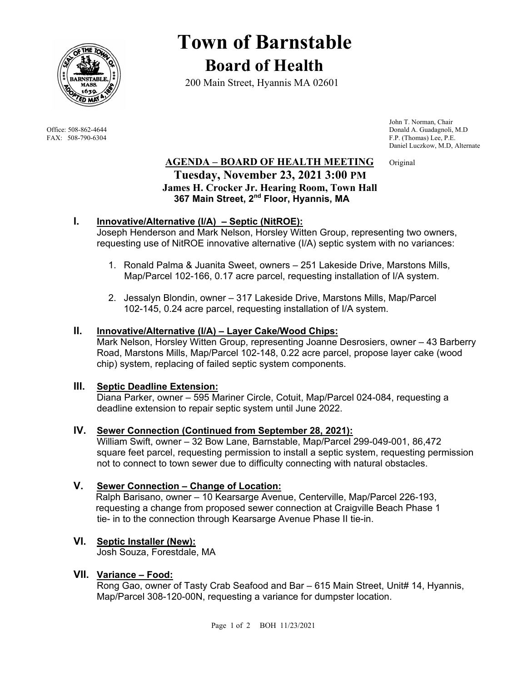

# **Town of Barnstable Board of Health**

200 Main Street, Hyannis MA 02601

 John T. Norman, Chair Office: 508-862-4644 Donald A. Guadagnoli, M.D<br>
FAX: 508-790-6304 FAX: 508-790-6304 PE.P. F.P. (Thomas) Lee, P.E. Daniel Luczkow, M.D, Alternate

## **AGENDA – BOARD OF HEALTH MEETING** Original  **Tuesday, November 23, 2021 3:00 PM James H. Crocker Jr. Hearing Room, Town Hall 367 Main Street, 2nd Floor, Hyannis, MA**

## **I. Innovative/Alternative (I/A) – Septic (NitROE):**

Joseph Henderson and Mark Nelson, Horsley Witten Group, representing two owners, requesting use of NitROE innovative alternative (I/A) septic system with no variances:

- 1. Ronald Palma & Juanita Sweet, owners 251 Lakeside Drive, Marstons Mills, Map/Parcel 102-166, 0.17 acre parcel, requesting installation of I/A system.
- 2. Jessalyn Blondin, owner 317 Lakeside Drive, Marstons Mills, Map/Parcel 102-145, 0.24 acre parcel, requesting installation of I/A system.

## **II. Innovative/Alternative (I/A) – Layer Cake/Wood Chips:**

Mark Nelson, Horsley Witten Group, representing Joanne Desrosiers, owner – 43 Barberry Road, Marstons Mills, Map/Parcel 102-148, 0.22 acre parcel, propose layer cake (wood chip) system, replacing of failed septic system components.

## **III. Septic Deadline Extension:**

Diana Parker, owner – 595 Mariner Circle, Cotuit, Map/Parcel 024-084, requesting a deadline extension to repair septic system until June 2022.

#### **IV. Sewer Connection (Continued from September 28, 2021):**

William Swift, owner – 32 Bow Lane, Barnstable, Map/Parcel 299-049-001, 86,472 square feet parcel, requesting permission to install a septic system, requesting permission not to connect to town sewer due to difficulty connecting with natural obstacles.

## **V. Sewer Connection – Change of Location:**

 Ralph Barisano, owner – 10 Kearsarge Avenue, Centerville, Map/Parcel 226-193, requesting a change from proposed sewer connection at Craigville Beach Phase 1 tie- in to the connection through Kearsarge Avenue Phase II tie-in.

## **VI. Septic Installer (New):**

Josh Souza, Forestdale, MA

## **VII. Variance – Food:**

Rong Gao, owner of Tasty Crab Seafood and Bar – 615 Main Street, Unit# 14, Hyannis, Map/Parcel 308-120-00N, requesting a variance for dumpster location.